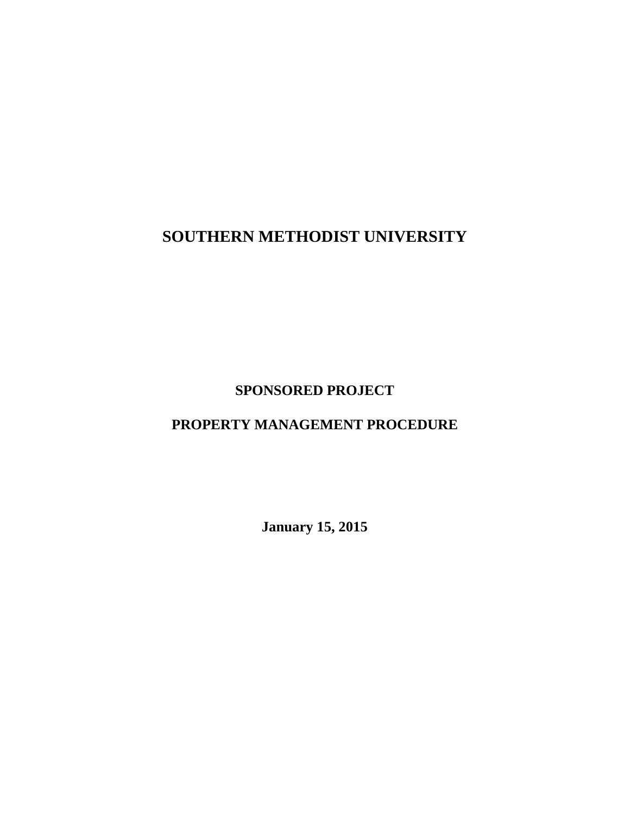# **SOUTHERN METHODIST UNIVERSITY**

## **SPONSORED PROJECT**

## **PROPERTY MANAGEMENT PROCEDURE**

**January 15, 2015**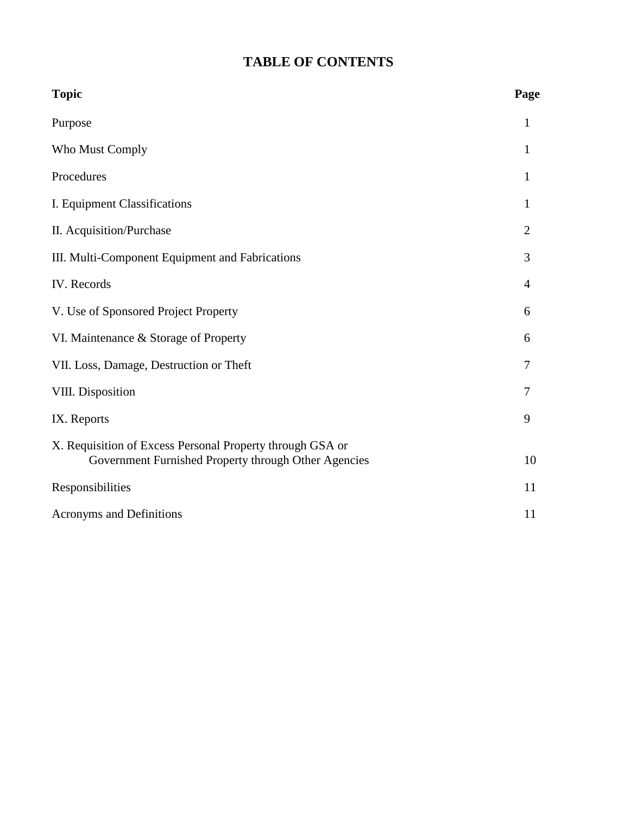## **TABLE OF CONTENTS**

| <b>Topic</b>                                                                                                      | Page           |
|-------------------------------------------------------------------------------------------------------------------|----------------|
| Purpose                                                                                                           | $\mathbf{1}$   |
| Who Must Comply                                                                                                   | 1              |
| Procedures                                                                                                        | $\mathbf{1}$   |
| I. Equipment Classifications                                                                                      | 1              |
| II. Acquisition/Purchase                                                                                          | $\overline{2}$ |
| III. Multi-Component Equipment and Fabrications                                                                   | 3              |
| IV. Records                                                                                                       | 4              |
| V. Use of Sponsored Project Property                                                                              | 6              |
| VI. Maintenance & Storage of Property                                                                             | 6              |
| VII. Loss, Damage, Destruction or Theft                                                                           | 7              |
| VIII. Disposition                                                                                                 | 7              |
| IX. Reports                                                                                                       | 9              |
| X. Requisition of Excess Personal Property through GSA or<br>Government Furnished Property through Other Agencies | 10             |
| Responsibilities                                                                                                  | 11             |
| <b>Acronyms and Definitions</b>                                                                                   | 11             |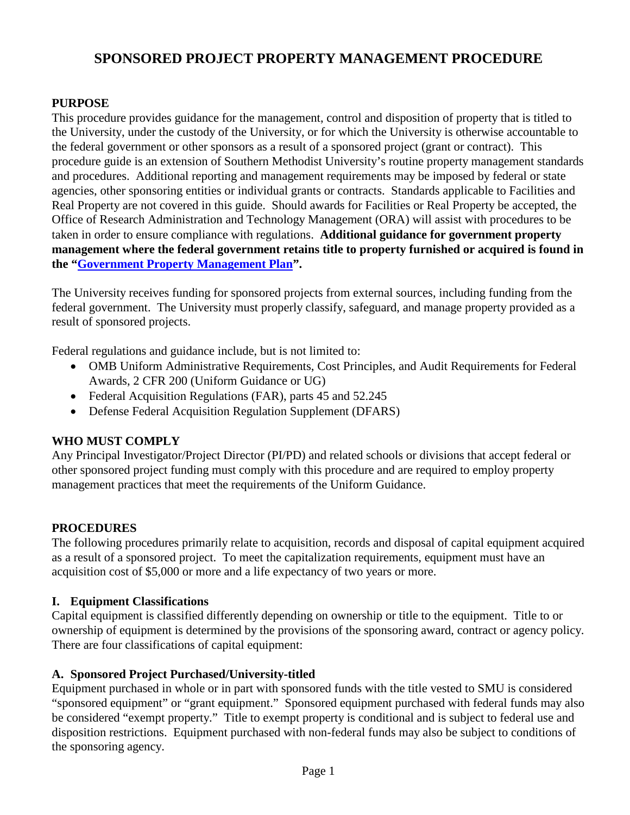## **SPONSORED PROJECT PROPERTY MANAGEMENT PROCEDURE**

#### **PURPOSE**

This procedure provides guidance for the management, control and disposition of property that is titled to the University, under the custody of the University, or for which the University is otherwise accountable to the federal government or other sponsors as a result of a sponsored project (grant or contract). This procedure guide is an extension of Southern Methodist University's routine property management standards and procedures. Additional reporting and management requirements may be imposed by federal or state agencies, other sponsoring entities or individual grants or contracts. Standards applicable to Facilities and Real Property are not covered in this guide. Should awards for Facilities or Real Property be accepted, the Office of Research Administration and Technology Management (ORA) will assist with procedures to be taken in order to ensure compliance with regulations. **Additional guidance for government property management where the federal government retains title to property furnished or acquired is found in the ["Government Property Management Plan"](http://www.smu.edu/~/media/Site/BusinessFinance/Controllers/Grant%20and%20Contract%20Accounting/GOV_PROPERTY_MGT_PLAN.ashx?la=en).**

The University receives funding for sponsored projects from external sources, including funding from the federal government. The University must properly classify, safeguard, and manage property provided as a result of sponsored projects.

Federal regulations and guidance include, but is not limited to:

- OMB Uniform Administrative Requirements, Cost Principles, and Audit Requirements for Federal Awards, 2 CFR 200 (Uniform Guidance or UG)
- Federal Acquisition Regulations (FAR), parts 45 and 52.245
- Defense Federal Acquisition Regulation Supplement (DFARS)

#### **WHO MUST COMPLY**

Any Principal Investigator/Project Director (PI/PD) and related schools or divisions that accept federal or other sponsored project funding must comply with this procedure and are required to employ property management practices that meet the requirements of the Uniform Guidance.

#### **PROCEDURES**

The following procedures primarily relate to acquisition, records and disposal of capital equipment acquired as a result of a sponsored project. To meet the capitalization requirements, equipment must have an acquisition cost of \$5,000 or more and a life expectancy of two years or more.

#### **I. Equipment Classifications**

Capital equipment is classified differently depending on ownership or title to the equipment. Title to or ownership of equipment is determined by the provisions of the sponsoring award, contract or agency policy. There are four classifications of capital equipment:

#### **A. Sponsored Project Purchased/University-titled**

Equipment purchased in whole or in part with sponsored funds with the title vested to SMU is considered "sponsored equipment" or "grant equipment." Sponsored equipment purchased with federal funds may also be considered "exempt property." Title to exempt property is conditional and is subject to federal use and disposition restrictions. Equipment purchased with non-federal funds may also be subject to conditions of the sponsoring agency.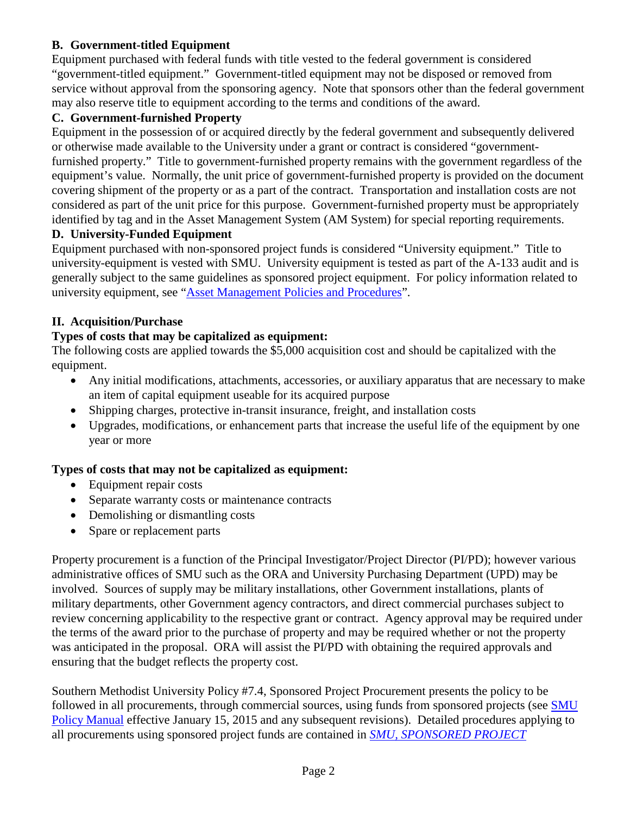## **B. Government-titled Equipment**

Equipment purchased with federal funds with title vested to the federal government is considered "government-titled equipment." Government-titled equipment may not be disposed or removed from service without approval from the sponsoring agency. Note that sponsors other than the federal government may also reserve title to equipment according to the terms and conditions of the award.

#### **C. Government-furnished Property**

Equipment in the possession of or acquired directly by the federal government and subsequently delivered or otherwise made available to the University under a grant or contract is considered "governmentfurnished property." Title to government-furnished property remains with the government regardless of the equipment's value. Normally, the unit price of government-furnished property is provided on the document covering shipment of the property or as a part of the contract. Transportation and installation costs are not considered as part of the unit price for this purpose. Government-furnished property must be appropriately identified by tag and in the Asset Management System (AM System) for special reporting requirements.

#### **D. University-Funded Equipment**

Equipment purchased with non-sponsored project funds is considered "University equipment." Title to university-equipment is vested with SMU. University equipment is tested as part of the A-133 audit and is generally subject to the same guidelines as sponsored project equipment. For policy information related to university equipment, see ["Asset Management Policies and Procedures"](http://www.smu.edu/BusinessFinance/Controller/AssetManagement/AssetManagementPoliciesProcedures).

#### **II. Acquisition/Purchase**

## **Types of costs that may be capitalized as equipment:**

The following costs are applied towards the \$5,000 acquisition cost and should be capitalized with the equipment.

- Any initial modifications, attachments, accessories, or auxiliary apparatus that are necessary to make an item of capital equipment useable for its acquired purpose
- Shipping charges, protective in-transit insurance, freight, and installation costs
- Upgrades, modifications, or enhancement parts that increase the useful life of the equipment by one year or more

#### **Types of costs that may not be capitalized as equipment:**

- Equipment repair costs
- Separate warranty costs or maintenance contracts
- Demolishing or dismantling costs
- Spare or replacement parts

Property procurement is a function of the Principal Investigator/Project Director (PI/PD); however various administrative offices of SMU such as the ORA and University Purchasing Department (UPD) may be involved. Sources of supply may be military installations, other Government installations, plants of military departments, other Government agency contractors, and direct commercial purchases subject to review concerning applicability to the respective grant or contract. Agency approval may be required under the terms of the award prior to the purchase of property and may be required whether or not the property was anticipated in the proposal. ORA will assist the PI/PD with obtaining the required approvals and ensuring that the budget reflects the property cost.

Southern Methodist University Policy #7.4, Sponsored Project Procurement presents the policy to be followed in all procurements, through commercial sources, using funds from sponsored projects (see SMU [Policy Manual](https://inside.smu.edu/OS/OrgHome/LegalAffairs/Policy/SitePages/7.4%20Sponsored%20Project%20Procurement.aspx) effective January 15, 2015 and any subsequent revisions). Detailed procedures applying to all procurements using sponsored project funds are contained in *[SMU, SPONSORED PROJECT](http://www.smu.edu/~/media/Site/BusinessFinance/Controllers/Grant%20and%20Contract%20Accounting/SPONSORED_PROJECT_PROCUREMENT.ashx?la=en)*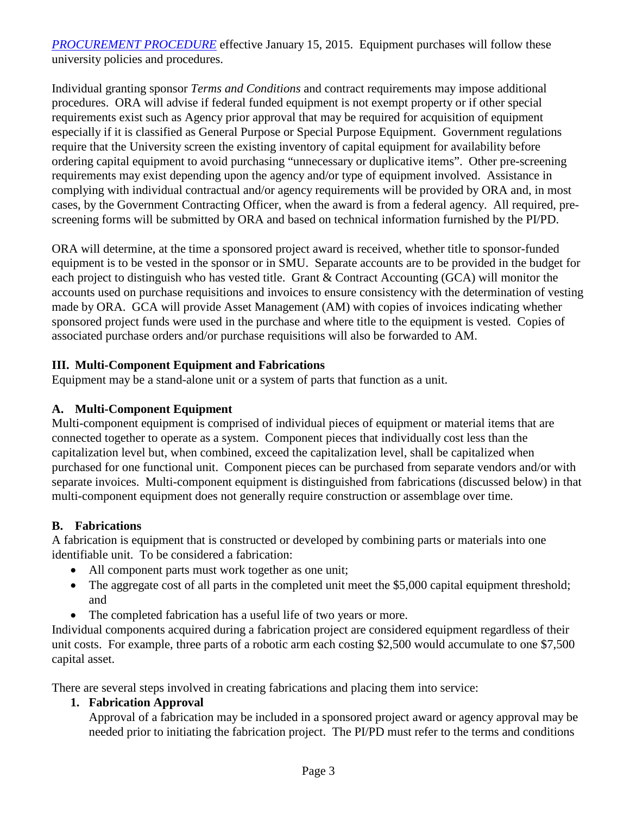*[PROCUREMENT](http://www.smu.edu/~/media/Site/BusinessFinance/Controllers/Grant%20and%20Contract%20Accounting/SPONSORED_PROJECT_PROCUREMENT.ashx?la=en) PROCEDURE* effective January 15, 2015. Equipment purchases will follow these university policies and procedures.

Individual granting sponsor *Terms and Conditions* and contract requirements may impose additional procedures. ORA will advise if federal funded equipment is not exempt property or if other special requirements exist such as Agency prior approval that may be required for acquisition of equipment especially if it is classified as General Purpose or Special Purpose Equipment. Government regulations require that the University screen the existing inventory of capital equipment for availability before ordering capital equipment to avoid purchasing "unnecessary or duplicative items". Other pre-screening requirements may exist depending upon the agency and/or type of equipment involved. Assistance in complying with individual contractual and/or agency requirements will be provided by ORA and, in most cases, by the Government Contracting Officer, when the award is from a federal agency. All required, prescreening forms will be submitted by ORA and based on technical information furnished by the PI/PD.

ORA will determine, at the time a sponsored project award is received, whether title to sponsor-funded equipment is to be vested in the sponsor or in SMU. Separate accounts are to be provided in the budget for each project to distinguish who has vested title. Grant & Contract Accounting (GCA) will monitor the accounts used on purchase requisitions and invoices to ensure consistency with the determination of vesting made by ORA. GCA will provide Asset Management (AM) with copies of invoices indicating whether sponsored project funds were used in the purchase and where title to the equipment is vested. Copies of associated purchase orders and/or purchase requisitions will also be forwarded to AM.

#### **III. Multi-Component Equipment and Fabrications**

Equipment may be a stand-alone unit or a system of parts that function as a unit.

#### **A. Multi-Component Equipment**

Multi-component equipment is comprised of individual pieces of equipment or material items that are connected together to operate as a system. Component pieces that individually cost less than the capitalization level but, when combined, exceed the capitalization level, shall be capitalized when purchased for one functional unit. Component pieces can be purchased from separate vendors and/or with separate invoices. Multi-component equipment is distinguished from fabrications (discussed below) in that multi-component equipment does not generally require construction or assemblage over time.

#### **B. Fabrications**

A fabrication is equipment that is constructed or developed by combining parts or materials into one identifiable unit. To be considered a fabrication:

- All component parts must work together as one unit;
- The aggregate cost of all parts in the completed unit meet the \$5,000 capital equipment threshold; and
- The completed fabrication has a useful life of two years or more.

Individual components acquired during a fabrication project are considered equipment regardless of their unit costs. For example, three parts of a robotic arm each costing \$2,500 would accumulate to one \$7,500 capital asset.

There are several steps involved in creating fabrications and placing them into service:

## **1. Fabrication Approval**

Approval of a fabrication may be included in a sponsored project award or agency approval may be needed prior to initiating the fabrication project. The PI/PD must refer to the terms and conditions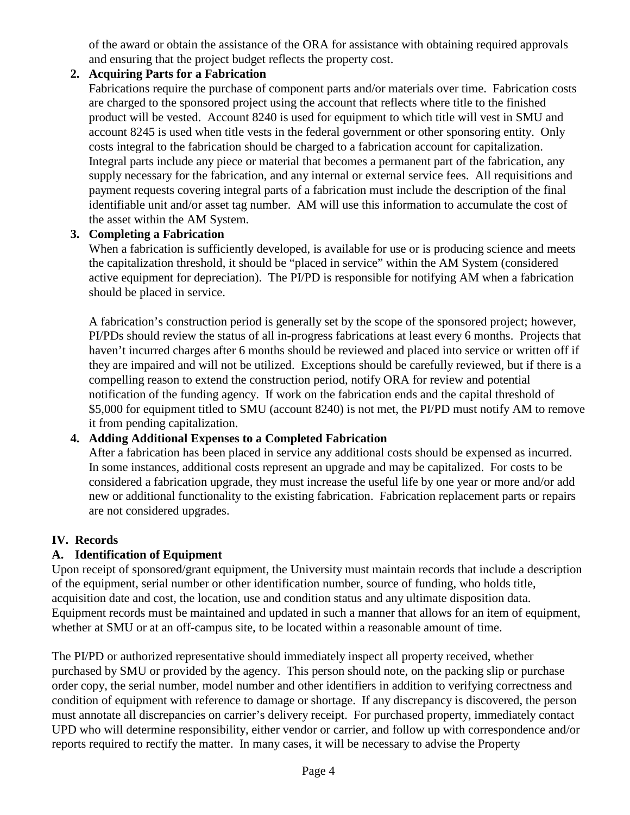of the award or obtain the assistance of the ORA for assistance with obtaining required approvals and ensuring that the project budget reflects the property cost.

## **2. Acquiring Parts for a Fabrication**

Fabrications require the purchase of component parts and/or materials over time. Fabrication costs are charged to the sponsored project using the account that reflects where title to the finished product will be vested. Account 8240 is used for equipment to which title will vest in SMU and account 8245 is used when title vests in the federal government or other sponsoring entity. Only costs integral to the fabrication should be charged to a fabrication account for capitalization. Integral parts include any piece or material that becomes a permanent part of the fabrication, any supply necessary for the fabrication, and any internal or external service fees. All requisitions and payment requests covering integral parts of a fabrication must include the description of the final identifiable unit and/or asset tag number. AM will use this information to accumulate the cost of the asset within the AM System.

## **3. Completing a Fabrication**

When a fabrication is sufficiently developed, is available for use or is producing science and meets the capitalization threshold, it should be "placed in service" within the AM System (considered active equipment for depreciation). The PI/PD is responsible for notifying AM when a fabrication should be placed in service.

A fabrication's construction period is generally set by the scope of the sponsored project; however, PI/PDs should review the status of all in-progress fabrications at least every 6 months. Projects that haven't incurred charges after 6 months should be reviewed and placed into service or written off if they are impaired and will not be utilized. Exceptions should be carefully reviewed, but if there is a compelling reason to extend the construction period, notify ORA for review and potential notification of the funding agency. If work on the fabrication ends and the capital threshold of \$5,000 for equipment titled to SMU (account 8240) is not met, the PI/PD must notify AM to remove it from pending capitalization.

## **4. Adding Additional Expenses to a Completed Fabrication**

After a fabrication has been placed in service any additional costs should be expensed as incurred. In some instances, additional costs represent an upgrade and may be capitalized. For costs to be considered a fabrication upgrade, they must increase the useful life by one year or more and/or add new or additional functionality to the existing fabrication. Fabrication replacement parts or repairs are not considered upgrades.

## **IV. Records**

## **A. Identification of Equipment**

Upon receipt of sponsored/grant equipment, the University must maintain records that include a description of the equipment, serial number or other identification number, source of funding, who holds title, acquisition date and cost, the location, use and condition status and any ultimate disposition data. Equipment records must be maintained and updated in such a manner that allows for an item of equipment, whether at SMU or at an off-campus site, to be located within a reasonable amount of time.

The PI/PD or authorized representative should immediately inspect all property received, whether purchased by SMU or provided by the agency. This person should note, on the packing slip or purchase order copy, the serial number, model number and other identifiers in addition to verifying correctness and condition of equipment with reference to damage or shortage. If any discrepancy is discovered, the person must annotate all discrepancies on carrier's delivery receipt. For purchased property, immediately contact UPD who will determine responsibility, either vendor or carrier, and follow up with correspondence and/or reports required to rectify the matter. In many cases, it will be necessary to advise the Property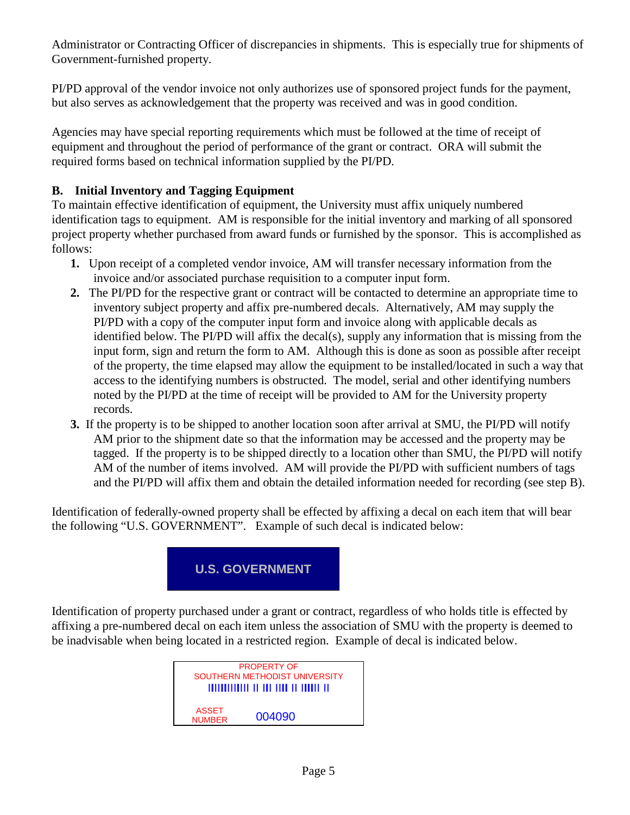Administrator or Contracting Officer of discrepancies in shipments. This is especially true for shipments of Government-furnished property.

PI/PD approval of the vendor invoice not only authorizes use of sponsored project funds for the payment, but also serves as acknowledgement that the property was received and was in good condition.

Agencies may have special reporting requirements which must be followed at the time of receipt of equipment and throughout the period of performance of the grant or contract. ORA will submit the required forms based on technical information supplied by the PI/PD.

## **B. Initial Inventory and Tagging Equipment**

To maintain effective identification of equipment, the University must affix uniquely numbered identification tags to equipment. AM is responsible for the initial inventory and marking of all sponsored project property whether purchased from award funds or furnished by the sponsor. This is accomplished as follows:

- **1.** Upon receipt of a completed vendor invoice, AM will transfer necessary information from the invoice and/or associated purchase requisition to a computer input form.
- **2.** The PI/PD for the respective grant or contract will be contacted to determine an appropriate time to inventory subject property and affix pre-numbered decals. Alternatively, AM may supply the PI/PD with a copy of the computer input form and invoice along with applicable decals as identified below. The PI/PD will affix the decal(s), supply any information that is missing from the input form, sign and return the form to AM. Although this is done as soon as possible after receipt of the property, the time elapsed may allow the equipment to be installed/located in such a way that access to the identifying numbers is obstructed. The model, serial and other identifying numbers noted by the PI/PD at the time of receipt will be provided to AM for the University property records.
- **3.** If the property is to be shipped to another location soon after arrival at SMU, the PI/PD will notify AM prior to the shipment date so that the information may be accessed and the property may be tagged. If the property is to be shipped directly to a location other than SMU, the PI/PD will notify AM of the number of items involved. AM will provide the PI/PD with sufficient numbers of tags and the PI/PD will affix them and obtain the detailed information needed for recording (see step B).

Identification of federally-owned property shall be effected by affixing a decal on each item that will bear the following "U.S. GOVERNMENT". Example of such decal is indicated below:



Identification of property purchased under a grant or contract, regardless of who holds title is effected by affixing a pre-numbered decal on each item unless the association of SMU with the property is deemed to be inadvisable when being located in a restricted region. Example of decal is indicated below.

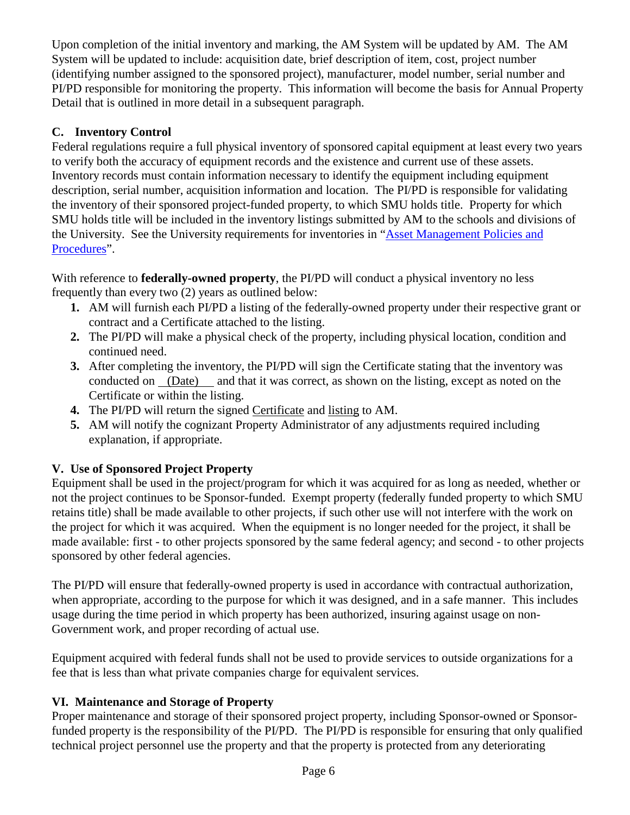Upon completion of the initial inventory and marking, the AM System will be updated by AM. The AM System will be updated to include: acquisition date, brief description of item, cost, project number (identifying number assigned to the sponsored project), manufacturer, model number, serial number and PI/PD responsible for monitoring the property. This information will become the basis for Annual Property Detail that is outlined in more detail in a subsequent paragraph.

## **C. Inventory Control**

Federal regulations require a full physical inventory of sponsored capital equipment at least every two years to verify both the accuracy of equipment records and the existence and current use of these assets. Inventory records must contain information necessary to identify the equipment including equipment description, serial number, acquisition information and location. The PI/PD is responsible for validating the inventory of their sponsored project-funded property, to which SMU holds title. Property for which SMU holds title will be included in the inventory listings submitted by AM to the schools and divisions of the University. See the University requirements for inventories in "Asset Management Policies and [Procedures"](http://www.smu.edu/BusinessFinance/Controller/AssetManagement/AssetManagementPoliciesProcedures).

With reference to **federally-owned property**, the PI/PD will conduct a physical inventory no less frequently than every two (2) years as outlined below:

- **1.** AM will furnish each PI/PD a listing of the federally-owned property under their respective grant or contract and a Certificate attached to the listing.
- **2.** The PI/PD will make a physical check of the property, including physical location, condition and continued need.
- **3.** After completing the inventory, the PI/PD will sign the Certificate stating that the inventory was conducted on (Date) and that it was correct, as shown on the listing, except as noted on the Certificate or within the listing.
- **4.** The PI/PD will return the signed Certificate and listing to AM.
- **5.** AM will notify the cognizant Property Administrator of any adjustments required including explanation, if appropriate.

## **V. Use of Sponsored Project Property**

Equipment shall be used in the project/program for which it was acquired for as long as needed, whether or not the project continues to be Sponsor-funded. Exempt property (federally funded property to which SMU retains title) shall be made available to other projects, if such other use will not interfere with the work on the project for which it was acquired. When the equipment is no longer needed for the project, it shall be made available: first - to other projects sponsored by the same federal agency; and second - to other projects sponsored by other federal agencies.

The PI/PD will ensure that federally-owned property is used in accordance with contractual authorization, when appropriate, according to the purpose for which it was designed, and in a safe manner. This includes usage during the time period in which property has been authorized, insuring against usage on non-Government work, and proper recording of actual use.

Equipment acquired with federal funds shall not be used to provide services to outside organizations for a fee that is less than what private companies charge for equivalent services.

## **VI. Maintenance and Storage of Property**

Proper maintenance and storage of their sponsored project property, including Sponsor-owned or Sponsorfunded property is the responsibility of the PI/PD. The PI/PD is responsible for ensuring that only qualified technical project personnel use the property and that the property is protected from any deteriorating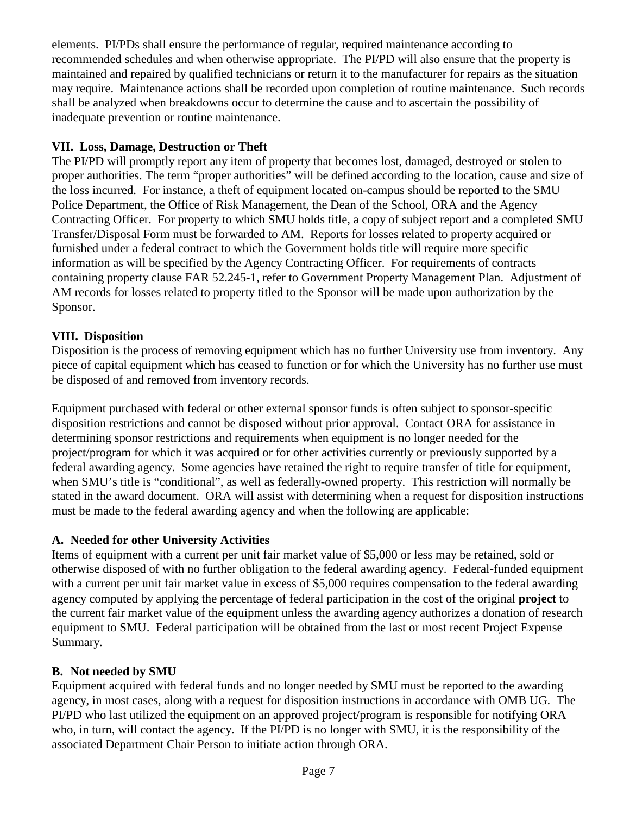elements. PI/PDs shall ensure the performance of regular, required maintenance according to recommended schedules and when otherwise appropriate. The PI/PD will also ensure that the property is maintained and repaired by qualified technicians or return it to the manufacturer for repairs as the situation may require. Maintenance actions shall be recorded upon completion of routine maintenance. Such records shall be analyzed when breakdowns occur to determine the cause and to ascertain the possibility of inadequate prevention or routine maintenance.

## **VII. Loss, Damage, Destruction or Theft**

The PI/PD will promptly report any item of property that becomes lost, damaged, destroyed or stolen to proper authorities. The term "proper authorities" will be defined according to the location, cause and size of the loss incurred. For instance, a theft of equipment located on-campus should be reported to the SMU Police Department, the Office of Risk Management, the Dean of the School, ORA and the Agency Contracting Officer. For property to which SMU holds title, a copy of subject report and a completed SMU Transfer/Disposal Form must be forwarded to AM. Reports for losses related to property acquired or furnished under a federal contract to which the Government holds title will require more specific information as will be specified by the Agency Contracting Officer. For requirements of contracts containing property clause FAR 52.245-1, refer to Government Property Management Plan. Adjustment of AM records for losses related to property titled to the Sponsor will be made upon authorization by the Sponsor.

#### **VIII. Disposition**

Disposition is the process of removing equipment which has no further University use from inventory. Any piece of capital equipment which has ceased to function or for which the University has no further use must be disposed of and removed from inventory records.

Equipment purchased with federal or other external sponsor funds is often subject to sponsor-specific disposition restrictions and cannot be disposed without prior approval. Contact ORA for assistance in determining sponsor restrictions and requirements when equipment is no longer needed for the project/program for which it was acquired or for other activities currently or previously supported by a federal awarding agency. Some agencies have retained the right to require transfer of title for equipment, when SMU's title is "conditional", as well as federally-owned property. This restriction will normally be stated in the award document. ORA will assist with determining when a request for disposition instructions must be made to the federal awarding agency and when the following are applicable:

## **A. Needed for other University Activities**

Items of equipment with a current per unit fair market value of \$5,000 or less may be retained, sold or otherwise disposed of with no further obligation to the federal awarding agency. Federal-funded equipment with a current per unit fair market value in excess of \$5,000 requires compensation to the federal awarding agency computed by applying the percentage of federal participation in the cost of the original **project** to the current fair market value of the equipment unless the awarding agency authorizes a donation of research equipment to SMU. Federal participation will be obtained from the last or most recent Project Expense Summary.

#### **B. Not needed by SMU**

Equipment acquired with federal funds and no longer needed by SMU must be reported to the awarding agency, in most cases, along with a request for disposition instructions in accordance with OMB UG. The PI/PD who last utilized the equipment on an approved project/program is responsible for notifying ORA who, in turn, will contact the agency. If the PI/PD is no longer with SMU, it is the responsibility of the associated Department Chair Person to initiate action through ORA.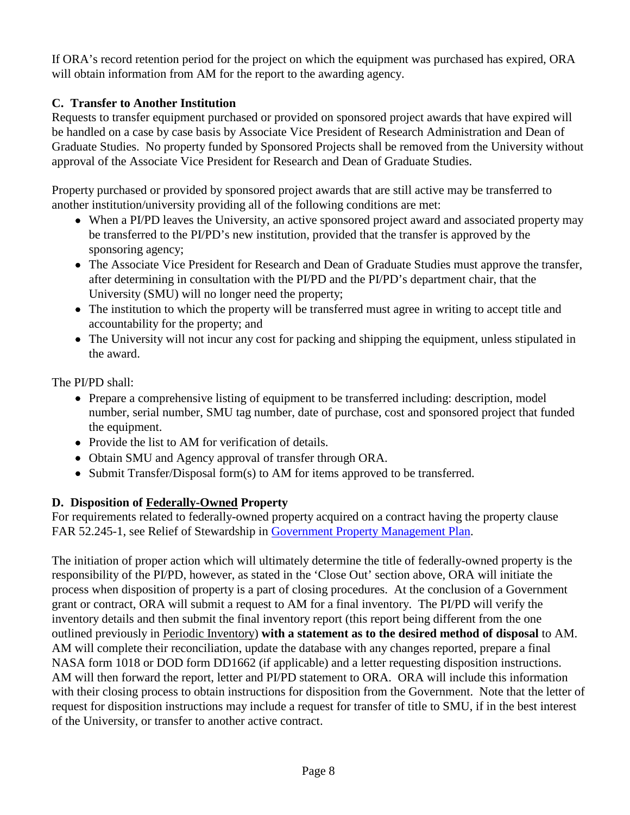If ORA's record retention period for the project on which the equipment was purchased has expired, ORA will obtain information from AM for the report to the awarding agency.

## **C. Transfer to Another Institution**

Requests to transfer equipment purchased or provided on sponsored project awards that have expired will be handled on a case by case basis by Associate Vice President of Research Administration and Dean of Graduate Studies. No property funded by Sponsored Projects shall be removed from the University without approval of the Associate Vice President for Research and Dean of Graduate Studies.

Property purchased or provided by sponsored project awards that are still active may be transferred to another institution/university providing all of the following conditions are met:

- When a PI/PD leaves the University, an active sponsored project award and associated property may be transferred to the PI/PD's new institution, provided that the transfer is approved by the sponsoring agency;
- The Associate Vice President for Research and Dean of Graduate Studies must approve the transfer, after determining in consultation with the PI/PD and the PI/PD's department chair, that the University (SMU) will no longer need the property;
- The institution to which the property will be transferred must agree in writing to accept title and accountability for the property; and
- The University will not incur any cost for packing and shipping the equipment, unless stipulated in the award.

The PI/PD shall:

- Prepare a comprehensive listing of equipment to be transferred including: description, model number, serial number, SMU tag number, date of purchase, cost and sponsored project that funded the equipment.
- Provide the list to AM for verification of details.
- Obtain SMU and Agency approval of transfer through ORA.
- Submit Transfer/Disposal form(s) to AM for items approved to be transferred.

## **D. Disposition of Federally-Owned Property**

For requirements related to federally-owned property acquired on a contract having the property clause FAR 52.245-1, see Relief of Stewardship in [Government Property](http://www.smu.edu/~/media/Site/BusinessFinance/Controllers/Grant%20and%20Contract%20Accounting/GOV_PROPERTY_MGT_PLAN.ashx?la=en) Management Plan.

The initiation of proper action which will ultimately determine the title of federally-owned property is the responsibility of the PI/PD, however, as stated in the 'Close Out' section above, ORA will initiate the process when disposition of property is a part of closing procedures. At the conclusion of a Government grant or contract, ORA will submit a request to AM for a final inventory. The PI/PD will verify the inventory details and then submit the final inventory report (this report being different from the one outlined previously in Periodic Inventory) **with a statement as to the desired method of disposal** to AM. AM will complete their reconciliation, update the database with any changes reported, prepare a final NASA form 1018 or DOD form DD1662 (if applicable) and a letter requesting disposition instructions. AM will then forward the report, letter and PI/PD statement to ORA. ORA will include this information with their closing process to obtain instructions for disposition from the Government. Note that the letter of request for disposition instructions may include a request for transfer of title to SMU, if in the best interest of the University, or transfer to another active contract.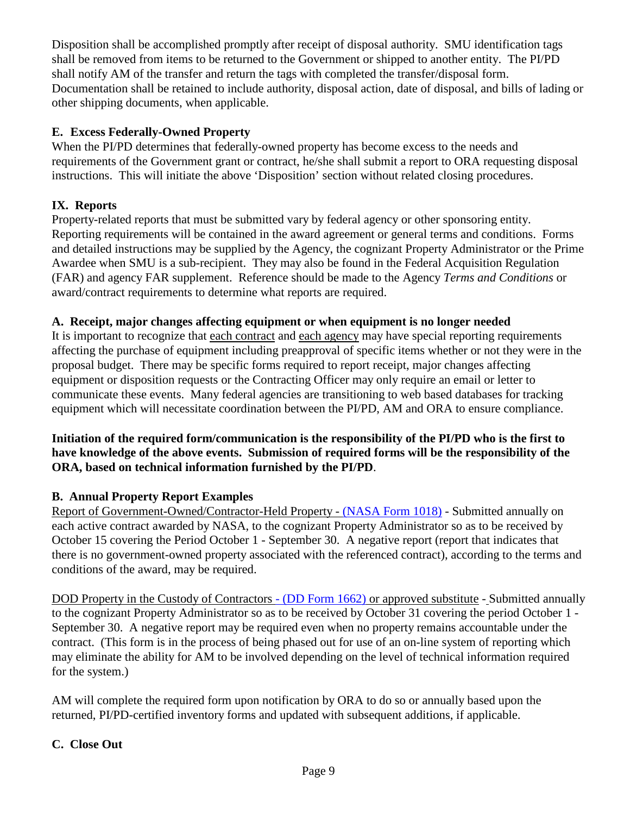Disposition shall be accomplished promptly after receipt of disposal authority. SMU identification tags shall be removed from items to be returned to the Government or shipped to another entity. The PI/PD shall notify AM of the transfer and return the tags with completed the transfer/disposal form. Documentation shall be retained to include authority, disposal action, date of disposal, and bills of lading or other shipping documents, when applicable.

#### **E. Excess Federally-Owned Property**

When the PI/PD determines that federally-owned property has become excess to the needs and requirements of the Government grant or contract, he/she shall submit a report to ORA requesting disposal instructions. This will initiate the above 'Disposition' section without related closing procedures.

#### **IX. Reports**

Property-related reports that must be submitted vary by federal agency or other sponsoring entity. Reporting requirements will be contained in the award agreement or general terms and conditions. Forms and detailed instructions may be supplied by the Agency, the cognizant Property Administrator or the Prime Awardee when SMU is a sub-recipient. They may also be found in the Federal Acquisition Regulation (FAR) and agency FAR supplement. Reference should be made to the Agency *Terms and Conditions* or award/contract requirements to determine what reports are required.

#### **A. Receipt, major changes affecting equipment or when equipment is no longer needed**

It is important to recognize that each contract and each agency may have special reporting requirements affecting the purchase of equipment including preapproval of specific items whether or not they were in the proposal budget. There may be specific forms required to report receipt, major changes affecting equipment or disposition requests or the Contracting Officer may only require an email or letter to communicate these events. Many federal agencies are transitioning to web based databases for tracking equipment which will necessitate coordination between the PI/PD, AM and ORA to ensure compliance.

#### **Initiation of the required form/communication is the responsibility of the PI/PD who is the first to have knowledge of the above events. Submission of required forms will be the responsibility of the ORA, based on technical information furnished by the PI/PD**.

## **B. Annual Property Report Examples**

Report of Government-Owned/Contractor-Held Property - [\(NASA Form 1018\)](http://www.nasa.gov/pdf/104406main_nf1018-FY03Revised.pdf) - Submitted annually on each active contract awarded by NASA, to the cognizant Property Administrator so as to be received by October 15 covering the Period October 1 - September 30. A negative report (report that indicates that there is no government-owned property associated with the referenced contract), according to the terms and conditions of the award, may be required.

DOD Property in the Custody of Contractors - [\(DD Form 1662\)](http://www.dtic.mil/whs/directives/forms/eforms/dd1662.pdf) or approved substitute - Submitted annually to the cognizant Property Administrator so as to be received by October 31 covering the period October 1 - September 30. A negative report may be required even when no property remains accountable under the contract. (This form is in the process of being phased out for use of an on-line system of reporting which may eliminate the ability for AM to be involved depending on the level of technical information required for the system.)

AM will complete the required form upon notification by ORA to do so or annually based upon the returned, PI/PD-certified inventory forms and updated with subsequent additions, if applicable.

#### **C. Close Out**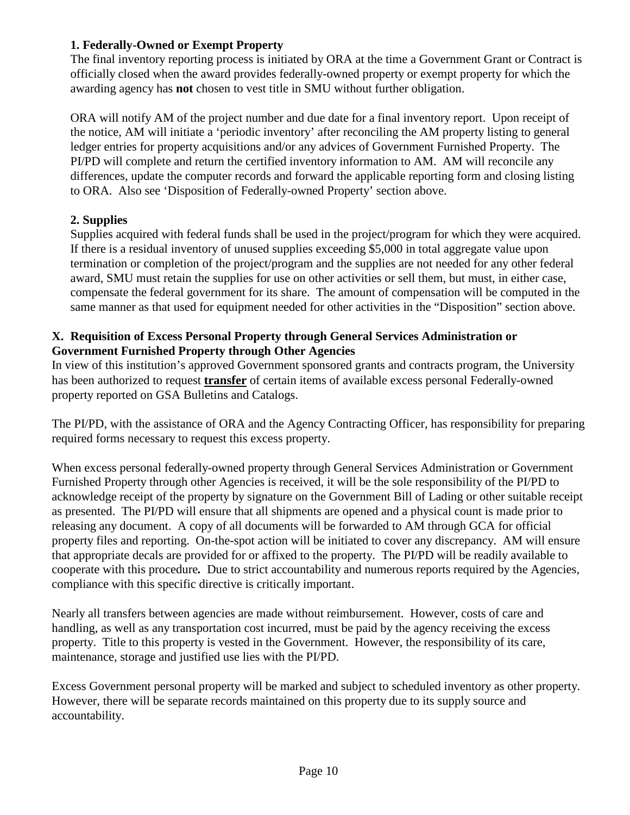## **1. Federally-Owned or Exempt Property**

The final inventory reporting process is initiated by ORA at the time a Government Grant or Contract is officially closed when the award provides federally-owned property or exempt property for which the awarding agency has **not** chosen to vest title in SMU without further obligation.

ORA will notify AM of the project number and due date for a final inventory report. Upon receipt of the notice, AM will initiate a 'periodic inventory' after reconciling the AM property listing to general ledger entries for property acquisitions and/or any advices of Government Furnished Property. The PI/PD will complete and return the certified inventory information to AM. AM will reconcile any differences, update the computer records and forward the applicable reporting form and closing listing to ORA. Also see 'Disposition of Federally-owned Property' section above.

## **2. Supplies**

Supplies acquired with federal funds shall be used in the project/program for which they were acquired. If there is a residual inventory of unused supplies exceeding \$5,000 in total aggregate value upon termination or completion of the project/program and the supplies are not needed for any other federal award, SMU must retain the supplies for use on other activities or sell them, but must, in either case, compensate the federal government for its share. The amount of compensation will be computed in the same manner as that used for equipment needed for other activities in the "Disposition" section above.

#### **X. Requisition of Excess Personal Property through General Services Administration or Government Furnished Property through Other Agencies**

In view of this institution's approved Government sponsored grants and contracts program, the University has been authorized to request **transfer** of certain items of available excess personal Federally-owned property reported on GSA Bulletins and Catalogs.

The PI/PD, with the assistance of ORA and the Agency Contracting Officer, has responsibility for preparing required forms necessary to request this excess property.

When excess personal federally-owned property through General Services Administration or Government Furnished Property through other Agencies is received, it will be the sole responsibility of the PI/PD to acknowledge receipt of the property by signature on the Government Bill of Lading or other suitable receipt as presented. The PI/PD will ensure that all shipments are opened and a physical count is made prior to releasing any document. A copy of all documents will be forwarded to AM through GCA for official property files and reporting. On-the-spot action will be initiated to cover any discrepancy. AM will ensure that appropriate decals are provided for or affixed to the property. The PI/PD will be readily available to cooperate with this procedure*.* Due to strict accountability and numerous reports required by the Agencies, compliance with this specific directive is critically important.

Nearly all transfers between agencies are made without reimbursement. However, costs of care and handling, as well as any transportation cost incurred, must be paid by the agency receiving the excess property. Title to this property is vested in the Government. However, the responsibility of its care, maintenance, storage and justified use lies with the PI/PD.

Excess Government personal property will be marked and subject to scheduled inventory as other property. However, there will be separate records maintained on this property due to its supply source and accountability.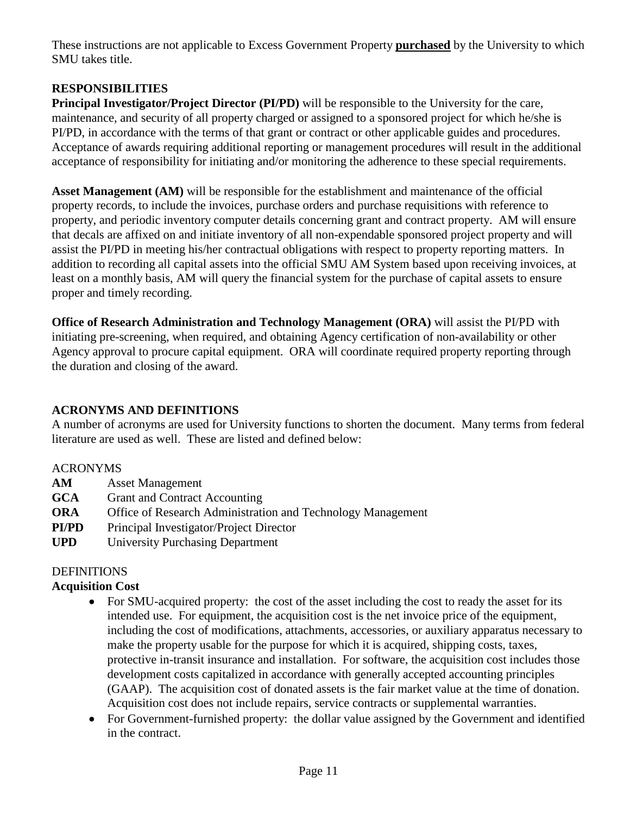These instructions are not applicable to Excess Government Property **purchased** by the University to which SMU takes title.

#### **RESPONSIBILITIES**

**Principal Investigator/Project Director (PI/PD)** will be responsible to the University for the care, maintenance, and security of all property charged or assigned to a sponsored project for which he/she is PI/PD, in accordance with the terms of that grant or contract or other applicable guides and procedures. Acceptance of awards requiring additional reporting or management procedures will result in the additional acceptance of responsibility for initiating and/or monitoring the adherence to these special requirements.

**Asset Management (AM)** will be responsible for the establishment and maintenance of the official property records, to include the invoices, purchase orders and purchase requisitions with reference to property, and periodic inventory computer details concerning grant and contract property. AM will ensure that decals are affixed on and initiate inventory of all non-expendable sponsored project property and will assist the PI/PD in meeting his/her contractual obligations with respect to property reporting matters. In addition to recording all capital assets into the official SMU AM System based upon receiving invoices, at least on a monthly basis, AM will query the financial system for the purchase of capital assets to ensure proper and timely recording.

**Office of Research Administration and Technology Management (ORA)** will assist the PI/PD with initiating pre-screening, when required, and obtaining Agency certification of non-availability or other Agency approval to procure capital equipment. ORA will coordinate required property reporting through the duration and closing of the award.

## **ACRONYMS AND DEFINITIONS**

A number of acronyms are used for University functions to shorten the document. Many terms from federal literature are used as well. These are listed and defined below:

#### ACRONYMS

- **AM** Asset Management
- **GCA** Grant and Contract Accounting
- **ORA** Office of Research Administration and Technology Management
- **PI/PD** Principal Investigator/Project Director
- **UPD** University Purchasing Department

## DEFINITIONS

## **Acquisition Cost**

- For SMU-acquired property: the cost of the asset including the cost to ready the asset for its intended use. For equipment, the acquisition cost is the net invoice price of the equipment, including the cost of modifications, attachments, accessories, or auxiliary apparatus necessary to make the property usable for the purpose for which it is acquired, shipping costs, taxes, protective in-transit insurance and installation. For software, the acquisition cost includes those development costs capitalized in accordance with generally accepted accounting principles (GAAP). The acquisition cost of donated assets is the fair market value at the time of donation. Acquisition cost does not include repairs, service contracts or supplemental warranties.
- For Government-furnished property: the dollar value assigned by the Government and identified in the contract.